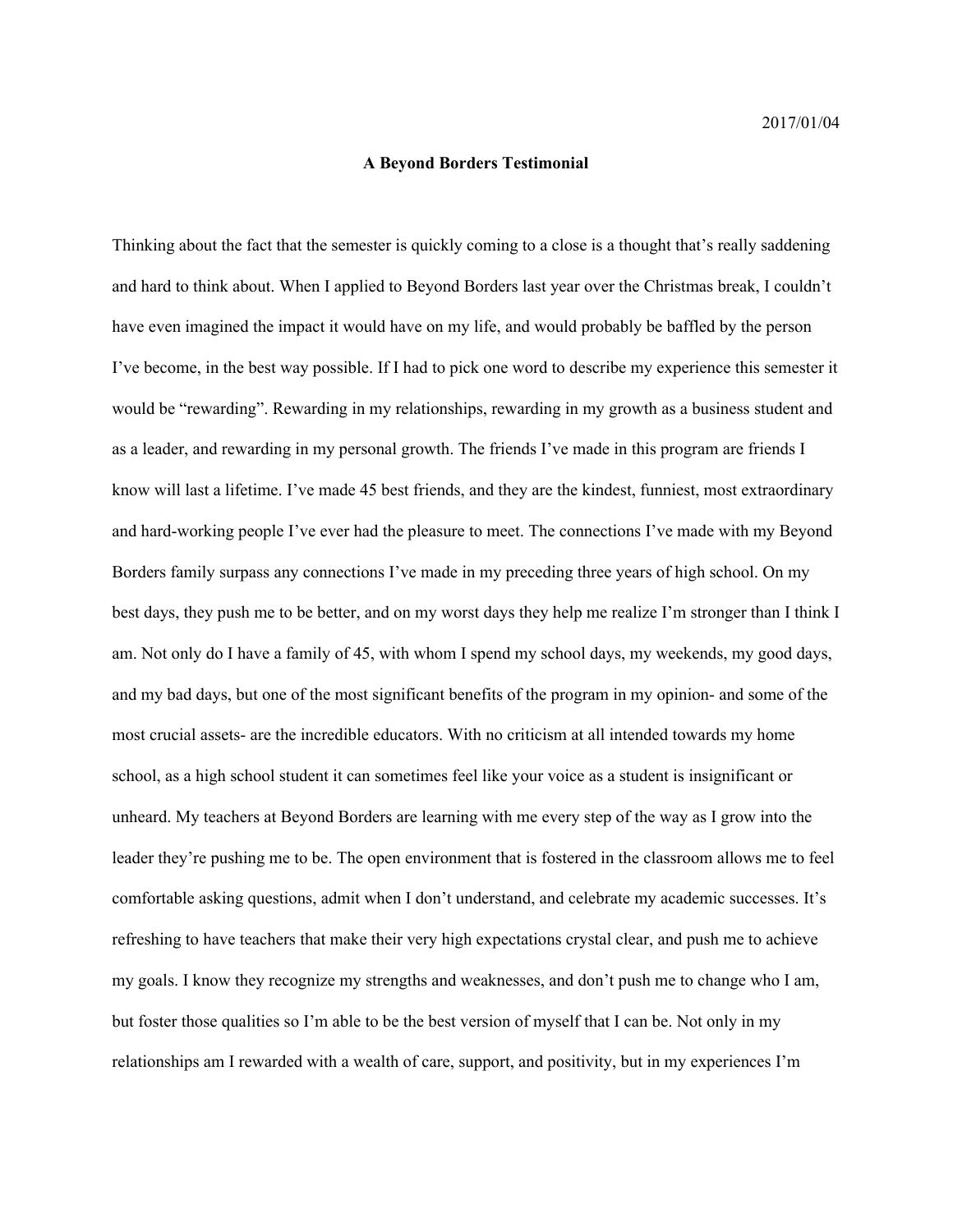## **A Beyond Borders Testimonial**

Thinking about the fact that the semester is quickly coming to a close is a thought that's really saddening and hard to think about. When I applied to Beyond Borders last year over the Christmas break, I couldn't have even imagined the impact it would have on my life, and would probably be baffled by the person I've become, in the best way possible. If I had to pick one word to describe my experience this semester it would be "rewarding". Rewarding in my relationships, rewarding in my growth as a business student and as a leader, and rewarding in my personal growth. The friends I've made in this program are friends I know will last a lifetime. I've made 45 best friends, and they are the kindest, funniest, most extraordinary and hard-working people I've ever had the pleasure to meet. The connections I've made with my Beyond Borders family surpass any connections I've made in my preceding three years of high school. On my best days, they push me to be better, and on my worst days they help me realize I'm stronger than I think I am. Not only do I have a family of 45, with whom I spend my school days, my weekends, my good days, and my bad days, but one of the most significant benefits of the program in my opinion- and some of the most crucial assets- are the incredible educators. With no criticism at all intended towards my home school, as a high school student it can sometimes feel like your voice as a student is insignificant or unheard. My teachers at Beyond Borders are learning with me every step of the way as I grow into the leader they're pushing me to be. The open environment that is fostered in the classroom allows me to feel comfortable asking questions, admit when I don't understand, and celebrate my academic successes. It's refreshing to have teachers that make their very high expectations crystal clear, and push me to achieve my goals. I know they recognize my strengths and weaknesses, and don't push me to change who I am, but foster those qualities so I'm able to be the best version of myself that I can be. Not only in my relationships am I rewarded with a wealth of care, support, and positivity, but in my experiences I'm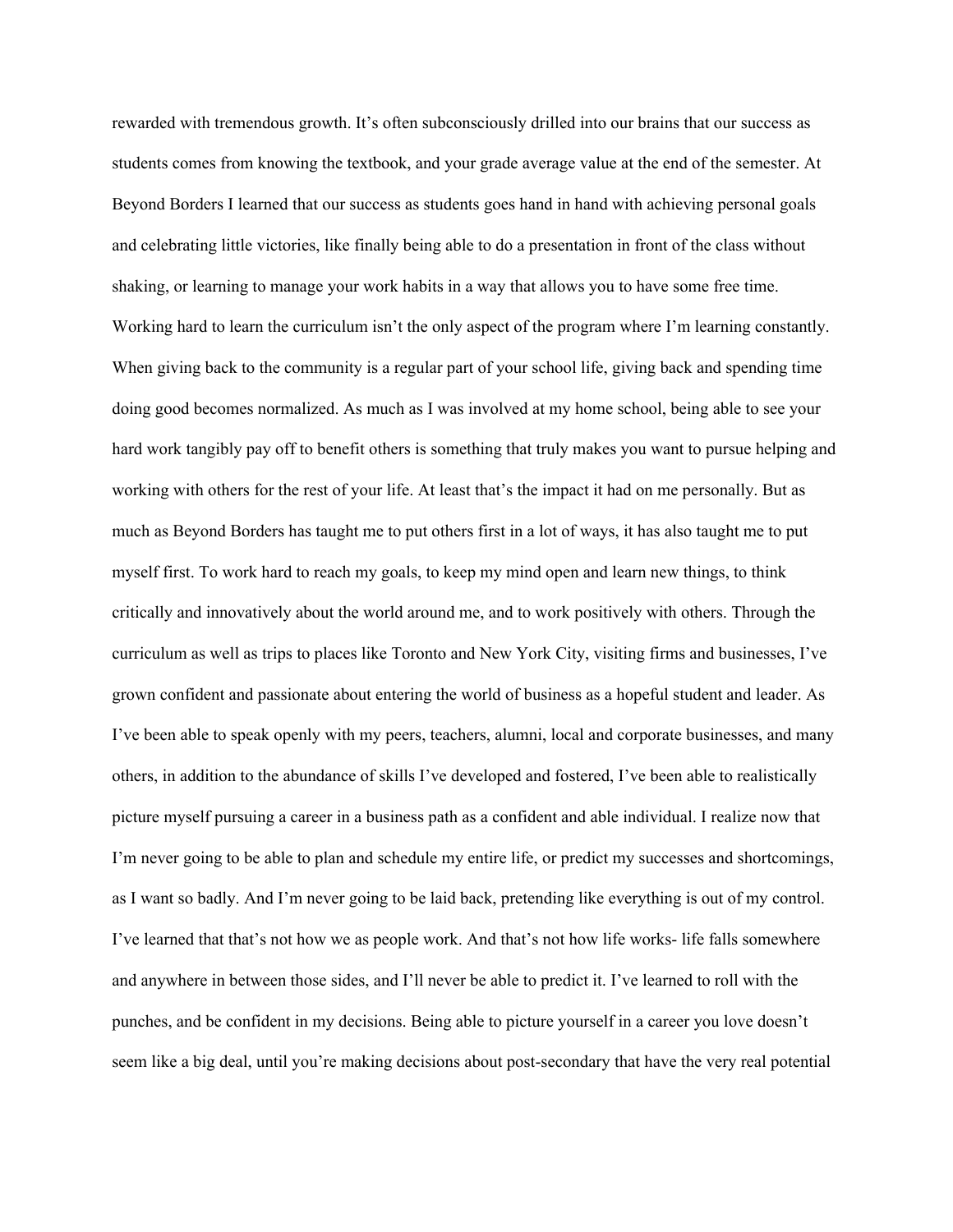rewarded with tremendous growth. It's often subconsciously drilled into our brains that our success as students comes from knowing the textbook, and your grade average value at the end of the semester. At Beyond Borders I learned that our success as students goes hand in hand with achieving personal goals and celebrating little victories, like finally being able to do a presentation in front of the class without shaking, or learning to manage your work habits in a way that allows you to have some free time. Working hard to learn the curriculum isn't the only aspect of the program where I'm learning constantly. When giving back to the community is a regular part of your school life, giving back and spending time doing good becomes normalized. As much as I was involved at my home school, being able to see your hard work tangibly pay off to benefit others is something that truly makes you want to pursue helping and working with others for the rest of your life. At least that's the impact it had on me personally. But as much as Beyond Borders has taught me to put others first in a lot of ways, it has also taught me to put myself first. To work hard to reach my goals, to keep my mind open and learn new things, to think critically and innovatively about the world around me, and to work positively with others. Through the curriculum as well as trips to places like Toronto and New York City, visiting firms and businesses, I've grown confident and passionate about entering the world of business as a hopeful student and leader. As I've been able to speak openly with my peers, teachers, alumni, local and corporate businesses, and many others, in addition to the abundance of skills I've developed and fostered, I've been able to realistically picture myself pursuing a career in a business path as a confident and able individual. I realize now that I'm never going to be able to plan and schedule my entire life, or predict my successes and shortcomings, as I want so badly. And I'm never going to be laid back, pretending like everything is out of my control. I've learned that that's not how we as people work. And that's not how life works- life falls somewhere and anywhere in between those sides, and I'll never be able to predict it. I've learned to roll with the punches, and be confident in my decisions. Being able to picture yourself in a career you love doesn't seem like a big deal, until you're making decisions about post-secondary that have the very real potential